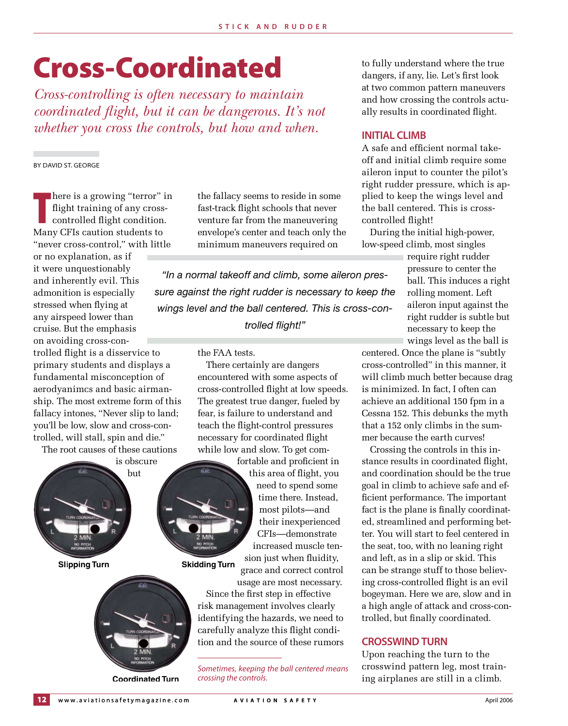# Cross-Coordinated

*Cross-controlling is often necessary to maintain coordinated flight, but it can be dangerous. It's not whether you cross the controls, but how and when.*

By David St. George

here is a growing "terror" i<br>flight training of any cross<br>controlled flight condition.<br>Many CFIs caution students to here is a growing "terror" in flight training of any crosscontrolled flight condition. "never cross-control," with little

or no explanation, as if it were unquestionably and inherently evil. This admonition is especially stressed when flying at any airspeed lower than cruise. But the emphasis on avoiding cross-controlled flight is a disservice to primary students and displays a fundamental misconception of aerodyanimcs and basic airmanship. The most extreme form of this fallacy intones, "Never slip to land; you'll be low, slow and cross-controlled, will stall, spin and die."

The root causes of these cautions



**Coordinated Turn**

the fallacy seems to reside in some fast-track flight schools that never venture far from the maneuvering envelope's center and teach only the minimum maneuvers required on

*"In a normal takeoff and climb, some aileron pressure against the right rudder is necessary to keep the wings level and the ball centered. This is cross-controlled flight!"*

the FAA tests.

There certainly are dangers encountered with some aspects of cross-controlled flight at low speeds. The greatest true danger, fueled by fear, is failure to understand and teach the flight-control pressures necessary for coordinated flight while low and slow. To get com-

> fortable and proficient in this area of flight, you need to spend some time there. Instead, most pilots—and their inexperienced CFIs—demonstrate increased muscle tension just when fluidity,

grace and correct control

usage are most necessary. Since the first step in effective risk management involves clearly identifying the hazards, we need to carefully analyze this flight condition and the source of these rumors

*Sometimes, keeping the ball centered means crossing the controls.*

to fully understand where the true dangers, if any, lie. Let's first look at two common pattern maneuvers and how crossing the controls actually results in coordinated flight.

### **Initial Climb**

A safe and efficient normal takeoff and initial climb require some aileron input to counter the pilot's right rudder pressure, which is applied to keep the wings level and the ball centered. This is crosscontrolled flight!

During the initial high-power, low-speed climb, most singles

> require right rudder pressure to center the ball. This induces a right rolling moment. Left aileron input against the right rudder is subtle but necessary to keep the wings level as the ball is

centered. Once the plane is "subtly cross-controlled" in this manner, it will climb much better because drag is minimized. In fact, I often can achieve an additional 150 fpm in a Cessna 152. This debunks the myth that a 152 only climbs in the summer because the earth curves!

Crossing the controls in this instance results in coordinated flight, and coordination should be the true goal in climb to achieve safe and efficient performance. The important fact is the plane is finally coordinated, streamlined and performing better. You will start to feel centered in the seat, too, with no leaning right and left, as in a slip or skid. This can be strange stuff to those believing cross-controlled flight is an evil bogeyman. Here we are, slow and in a high angle of attack and cross-controlled, but finally coordinated.

# **crosswind Turn**

Upon reaching the turn to the crosswind pattern leg, most training airplanes are still in a climb.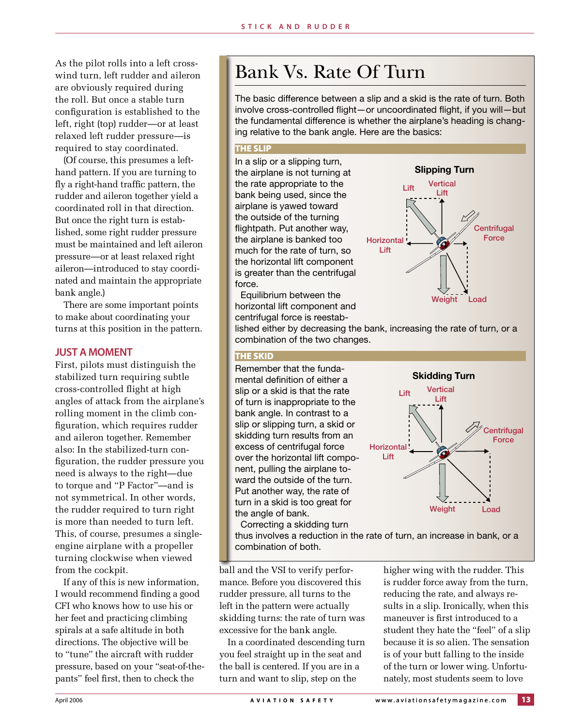As the pilot rolls into a left crosswind turn, left rudder and aileron are obviously required during the roll. But once a stable turn configuration is established to the left, right (top) rudder—or at least relaxed left rudder pressure—is required to stay coordinated.

(Of course, this presumes a lefthand pattern. If you are turning to fly a right-hand traffic pattern, the rudder and aileron together yield a coordinated roll in that direction. But once the right turn is established, some right rudder pressure must be maintained and left aileron pressure—or at least relaxed right aileron—introduced to stay coordinated and maintain the appropriate bank angle.)

There are some important points to make about coordinating your turns at this position in the pattern.

#### **Just A Moment**

First, pilots must distinguish the stabilized turn requiring subtle cross-controlled flight at high angles of attack from the airplane's rolling moment in the climb configuration, which requires rudder and aileron together. Remember also: In the stabilized-turn configuration, the rudder pressure you need is always to the right—due to torque and "P Factor"—and is not symmetrical. In other words, the rudder required to turn right is more than needed to turn left. This, of course, presumes a singleengine airplane with a propeller turning clockwise when viewed from the cockpit.

If any of this is new information, I would recommend finding a good CFI who knows how to use his or her feet and practicing climbing spirals at a safe altitude in both directions. The objective will be to "tune" the aircraft with rudder pressure, based on your "seat-of-thepants" feel first, then to check the

# Bank Vs. Rate Of Turn

The basic difference between a slip and a skid is the rate of turn. Both involve cross-controlled flight—or uncoordinated flight, if you will—but the fundamental difference is whether the airplane's heading is changing relative to the bank angle. Here are the basics:

#### THE SLIP

In a slip or a slipping turn, the airplane is not turning at the rate appropriate to the bank being used, since the airplane is yawed toward the outside of the turning flightpath. Put another way, the airplane is banked too much for the rate of turn, so the horizontal lift component is greater than the centrifugal force.

Equilibrium between the horizontal lift component and centrifugal force is reestab-



lished either by decreasing the bank, increasing the rate of turn, or a combination of the two changes.

### THE SKID

Remember that the fundamental definition of either a slip or a skid is that the rate of turn is inappropriate to the bank angle. In contrast to a slip or slipping turn, a skid or skidding turn results from an excess of centrifugal force over the horizontal lift component, pulling the airplane toward the outside of the turn. Put another way, the rate of turn in a skid is too great for the angle of bank.



Correcting a skidding turn thus involves a reduction in the rate of turn, an increase in bank, or a combination of both.

ball and the VSI to verify performance. Before you discovered this rudder pressure, all turns to the left in the pattern were actually skidding turns: the rate of turn was excessive for the bank angle.

In a coordinated descending turn you feel straight up in the seat and the ball is centered. If you are in a turn and want to slip, step on the

higher wing with the rudder. This is rudder force away from the turn, reducing the rate, and always results in a slip. Ironically, when this maneuver is first introduced to a student they hate the "feel" of a slip because it is so alien. The sensation is of your butt falling to the inside of the turn or lower wing. Unfortunately, most students seem to love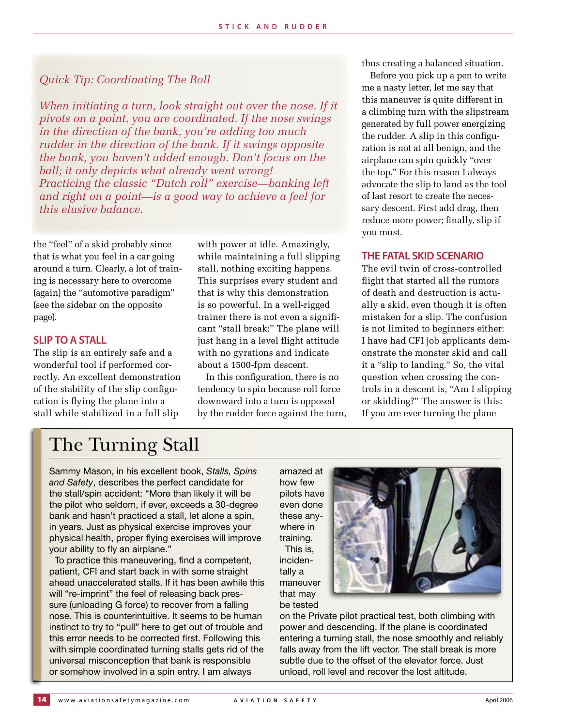# *Quick Tip: Coordinating The Roll*

*When initiating a turn, look straight out over the nose. If it pivots on a point, you are coordinated. If the nose swings in the direction of the bank, you're adding too much rudder in the direction of the bank. If it swings opposite the bank, you haven't added enough. Don't focus on the ball; it only depicts what already went wrong! Practicing the classic "Dutch roll" exercise—banking left and right on a point—is a good way to achieve a feel for this elusive balance.*

the "feel" of a skid probably since that is what you feel in a car going around a turn. Clearly, a lot of training is necessary here to overcome (again) the "automotive paradigm" (see the sidebar on the opposite page).

### **Slip To A Stall**

The slip is an entirely safe and a wonderful tool if performed correctly. An excellent demonstration of the stability of the slip configuration is flying the plane into a stall while stabilized in a full slip

with power at idle. Amazingly, while maintaining a full slipping stall, nothing exciting happens. This surprises every student and that is why this demonstration is so powerful. In a well-rigged trainer there is not even a significant "stall break:" The plane will just hang in a level flight attitude with no gyrations and indicate about a 1500-fpm descent.

In this configuration, there is no tendency to spin because roll force downward into a turn is opposed by the rudder force against the turn, thus creating a balanced situation.

Before you pick up a pen to write me a nasty letter, let me say that this maneuver is quite different in a climbing turn with the slipstream generated by full power energizing the rudder. A slip in this configuration is not at all benign, and the airplane can spin quickly "over the top." For this reason I always advocate the slip to land as the tool of last resort to create the necessary descent. First add drag, then reduce more power; finally, slip if you must.

### **The FATAL Skid Scenario**

The evil twin of cross-controlled flight that started all the rumors of death and destruction is actually a skid, even though it is often mistaken for a slip. The confusion is not limited to beginners either: I have had CFI job applicants demonstrate the monster skid and call it a "slip to landing." So, the vital question when crossing the controls in a descent is, "Am I slipping or skidding?" The answer is this: If you are ever turning the plane

# The Turning Stall

Sammy Mason, in his excellent book, *Stalls, Spins and Safety*, describes the perfect candidate for the stall/spin accident: "More than likely it will be the pilot who seldom, if ever, exceeds a 30-degree bank and hasn't practiced a stall, let alone a spin, in years. Just as physical exercise improves your physical health, proper flying exercises will improve your ability to fly an airplane."

To practice this maneuvering, find a competent, patient, CFI and start back in with some straight ahead unaccelerated stalls. If it has been awhile this will "re-imprint" the feel of releasing back pressure (unloading G force) to recover from a falling nose. This is counterintuitive. It seems to be human instinct to try to "pull" here to get out of trouble and this error needs to be corrected first. Following this with simple coordinated turning stalls gets rid of the universal misconception that bank is responsible or somehow involved in a spin entry. I am always

amazed at how few pilots have even done these anywhere in training. This is, incidentally a maneuver that may be tested



on the Private pilot practical test, both climbing with power and descending. If the plane is coordinated entering a turning stall, the nose smoothly and reliably falls away from the lift vector. The stall break is more subtle due to the offset of the elevator force. Just unload, roll level and recover the lost altitude.